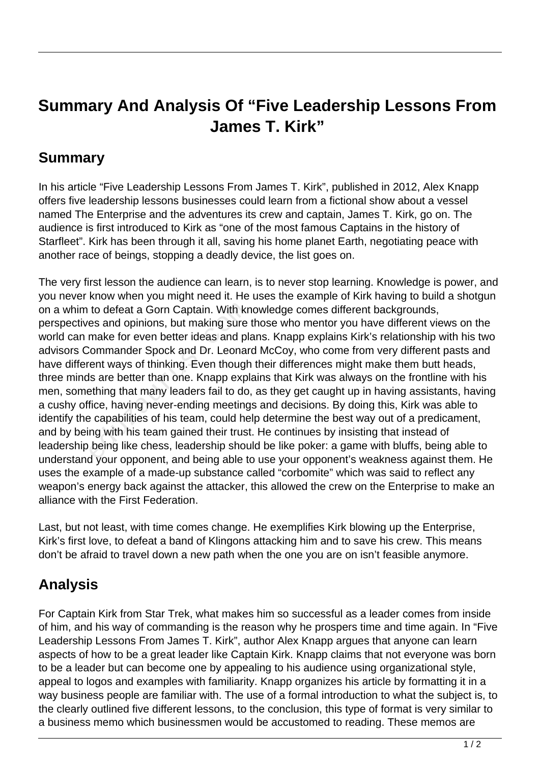## **Summary And Analysis Of "Five Leadership Lessons From James T. Kirk"**

## **Summary**

In his article "Five Leadership Lessons From James T. Kirk", published in 2012, Alex Knapp offers five leadership lessons businesses could learn from a fictional show about a vessel named The Enterprise and the adventures its crew and captain, James T. Kirk, go on. The audience is first introduced to Kirk as "one of the most famous Captains in the history of Starfleet". Kirk has been through it all, saving his home planet Earth, negotiating peace with another race of beings, stopping a deadly device, the list goes on.

The very first lesson the audience can learn, is to never stop learning. Knowledge is power, and you never know when you might need it. He uses the example of Kirk having to build a shotgun on a whim to defeat a Gorn Captain. With knowledge comes different backgrounds, perspectives and opinions, but making sure those who mentor you have different views on the world can make for even better ideas and plans. Knapp explains Kirk's relationship with his two advisors Commander Spock and Dr. Leonard McCoy, who come from very different pasts and have different ways of thinking. Even though their differences might make them butt heads, three minds are better than one. Knapp explains that Kirk was always on the frontline with his men, something that many leaders fail to do, as they get caught up in having assistants, having a cushy office, having never-ending meetings and decisions. By doing this, Kirk was able to identify the capabilities of his team, could help determine the best way out of a predicament, and by being with his team gained their trust. He continues by insisting that instead of leadership being like chess, leadership should be like poker: a game with bluffs, being able to understand your opponent, and being able to use your opponent's weakness against them. He uses the example of a made-up substance called "corbomite" which was said to reflect any weapon's energy back against the attacker, this allowed the crew on the Enterprise to make an alliance with the First Federation. to defeat a Gorn Captain. With kr<br>es and opinions, but making sure<br>make for even better ideas and plicommander Spock and Dr. Leonar<br>ent ways of thinking. Even though<br>ls are better than one. Knapp expl<br>ething that many lead

Last, but not least, with time comes change. He exemplifies Kirk blowing up the Enterprise, Kirk's first love, to defeat a band of Klingons attacking him and to save his crew. This means don't be afraid to travel down a new path when the one you are on isn't feasible anymore.

## **Analysis**

For Captain Kirk from Star Trek, what makes him so successful as a leader comes from inside of him, and his way of commanding is the reason why he prospers time and time again. In "Five Leadership Lessons From James T. Kirk", author Alex Knapp argues that anyone can learn aspects of how to be a great leader like Captain Kirk. Knapp claims that not everyone was born to be a leader but can become one by appealing to his audience using organizational style, appeal to logos and examples with familiarity. Knapp organizes his article by formatting it in a way business people are familiar with. The use of a formal introduction to what the subject is, to the clearly outlined five different lessons, to the conclusion, this type of format is very similar to a business memo which businessmen would be accustomed to reading. These memos are